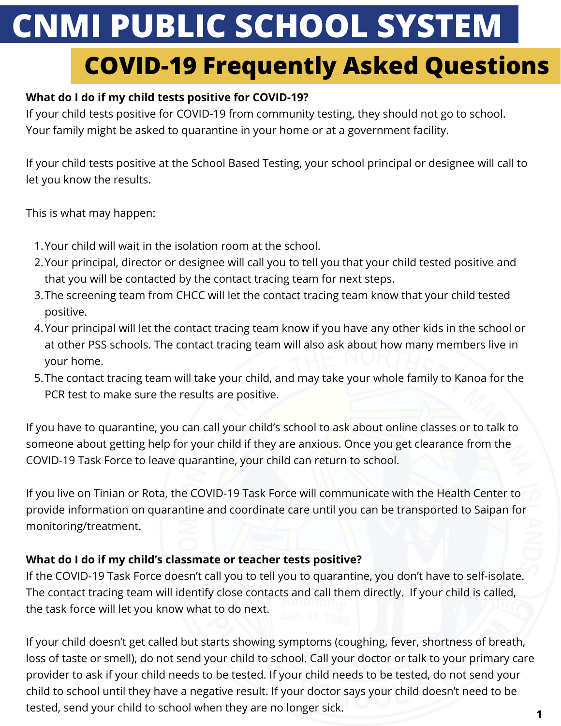# **CNMI PUBLIC SCHOOL SYSTEM**

# **COVID-19 Frequently Asked Questions**

# **What do I do if my child tests positive for COVID-19?**

If your child tests positive for COVID-19 from community testing, they should not go to school. Your family might be asked to quarantine in your home or at a government facility.

If your child tests positive at the School Based Testing, your school principal or designee will call to let you know the results.

This is what may happen:

- Your child will wait in the isolation room at the school. 1.
- Your principal, director or designee will call you to tell you that your child tested positive and 2. that you will be contacted by the contact tracing team for next steps.
- 3.The screening team from CHCC will let the contact tracing team know that your child tested positive.
- Your principal will let the contact tracing team know if you have any other kids in the school or 4. at other PSS schools. The contact tracing team will also ask about how many members live in your home.
- 5.The contact tracing team will take your child, and may take your whole family to Kanoa for the PCR test to make sure the results are positive.

If you have to quarantine, you can call your child's school to ask about online classes or to talk to someone about getting help for your child if they are anxious. Once you get clearance from the COVID-19 Task Force to leave quarantine, your child can return to school.

If you live on Tinian or Rota, the COVID-19 Task Force will communicate with the Health Center to provide information on quarantine and coordinate care until you can be transported to Saipan for monitoring/treatment.

# **What do I do if my child's classmate or teacher tests positive?**

If the COVID-19 Task Force doesn't call you to tell you to quarantine, you don't have to self-isolate. The contact tracing team will identify close contacts and call them directly. If your child is called, the task force will let you know what to do next.

If your child doesn't get called but starts showing symptoms (coughing, fever, shortness of breath, loss of taste or smell), do not send your child to school. Call your doctor or talk to your primary care provider to ask if your child needs to be tested. If your child needs to be tested, do not send your child to school until they have a negative result. If your doctor says your child doesn't need to be tested, send your child to school when they are no longer sick.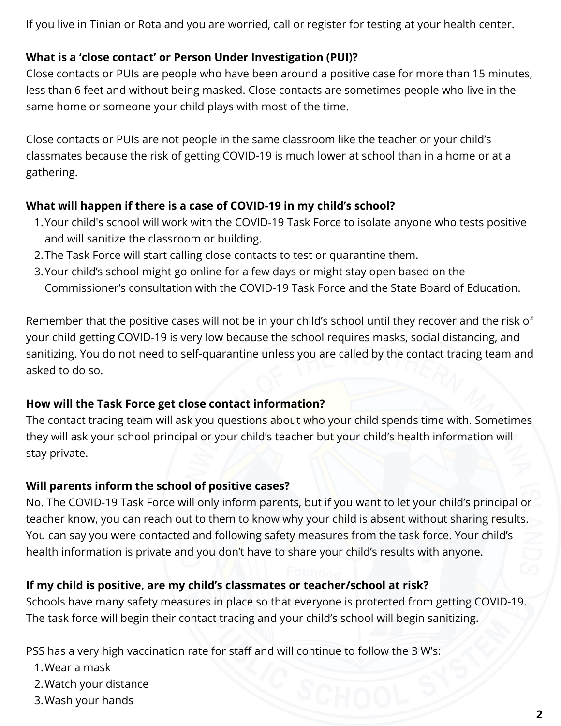If you live in Tinian or Rota and you are worried, call or register for testing at your health center.

# **What is a 'close contact' or Person Under Investigation (PUI)?**

Close contacts or PUIs are people who have been around a positive case for more than 15 minutes, less than 6 feet and without being masked. Close contacts are sometimes people who live in the same home or someone your child plays with most of the time.

Close contacts or PUIs are not people in the same classroom like the teacher or your child's classmates because the risk of getting COVID-19 is much lower at school than in a home or at a gathering.

#### **What will happen if there is a case of COVID-19 in my child's school?**

- Your child's school will work with the COVID-19 Task Force to isolate anyone who tests positive 1. and will sanitize the classroom or building.
- 2.The Task Force will start calling close contacts to test or quarantine them.
- Your child's school might go online for a few days or might stay open based on the 3. Commissioner's consultation with the COVID-19 Task Force and the State Board of Education.

Remember that the positive cases will not be in your child's school until they recover and the risk of your child getting COVID-19 is very low because the school requires masks, social distancing, and sanitizing. You do not need to self-quarantine unless you are called by the contact tracing team and asked to do so.

#### **How will the Task Force get close contact information?**

The contact tracing team will ask you questions about who your child spends time with. Sometimes they will ask your school principal or your child's teacher but your child's health information will stay private.

#### **Will parents inform the school of positive cases?**

No. The COVID-19 Task Force will only inform parents, but if you want to let your child's principal or teacher know, you can reach out to them to know why your child is absent without sharing results. You can say you were contacted and following safety measures from the task force. Your child's health information is private and you don't have to share your child's results with anyone.

# **If my child is positive, are my child's classmates or teacher/school at risk?**

Schools have many safety measures in place so that everyone is protected from getting COVID-19. The task force will begin their contact tracing and your child's school will begin sanitizing.

PSS has a very high vaccination rate for staff and will continue to follow the 3 W's:

- Wear a mask 1.
- 2. Watch your distance
- 3. Wash your hands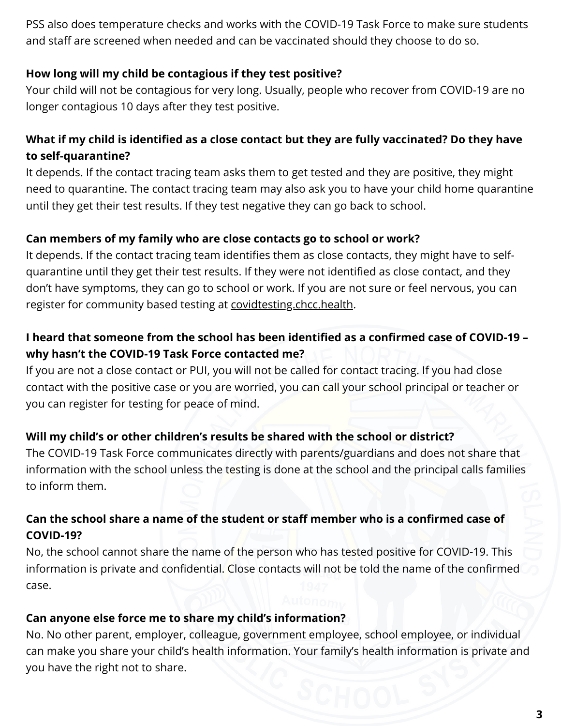PSS also does temperature checks and works with the COVID-19 Task Force to make sure students and staff are screened when needed and can be vaccinated should they choose to do so.

# **How long will my child be contagious if they test positive?**

Your child will not be contagious for very long. Usually, people who recover from COVID-19 are no longer contagious 10 days after they test positive.

# **What if my child is identified as a close contact but they are fully vaccinated? Do they have to self-quarantine?**

It depends. If the contact tracing team asks them to get tested and they are positive, they might need to quarantine. The contact tracing team may also ask you to have your child home quarantine until they get their test results. If they test negative they can go back to school.

# **Can members of my family who are close contacts go to school or work?**

It depends. If the contact tracing team identifies them as close contacts, they might have to selfquarantine until they get their test results. If they were not identified as close contact, and they don't have symptoms, they can go to school or work. If you are not sure or feel nervous, you can register for community based testing at [covidtesting.chcc.health](https://covidtesting.chcc.health/).

# **I heard that someone from the school has been identified as a confirmed case of COVID-19 – why hasn't the COVID-19 Task Force contacted me?**

If you are not a close contact or PUI, you will not be called for contact tracing. If you had close contact with the positive case or you are worried, you can call your school principal or teacher or you can register for testing for peace of mind.

# **Will my child's or other children's results be shared with the school or district?**

The COVID-19 Task Force communicates directly with parents/guardians and does not share that information with the school unless the testing is done at the school and the principal calls families to inform them.

# **Can the school share a name of the student or staff member who is a confirmed case of COVID-19?**

No, the school cannot share the name of the person who has tested positive for COVID-19. This information is private and confidential. Close contacts will not be told the name of the confirmed case.

#### **Can anyone else force me to share my child's information?**

No. No other parent, employer, colleague, government employee, school employee, or individual can make you share your child's health information. Your family's health information is private and you have the right not to share.